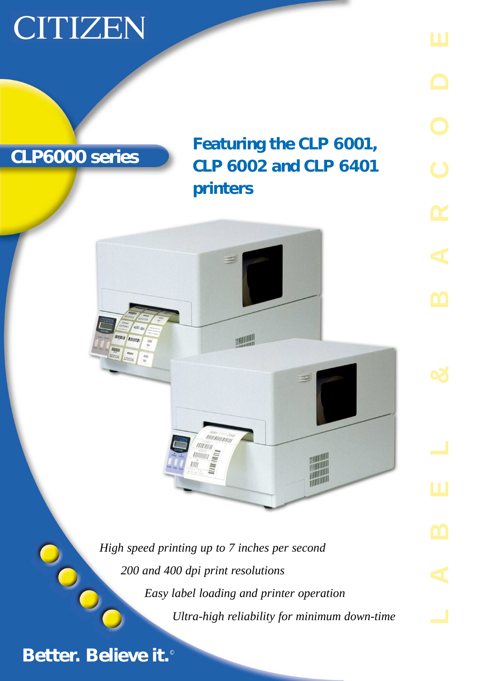## CITIZEN



**Better. Believe it.**©